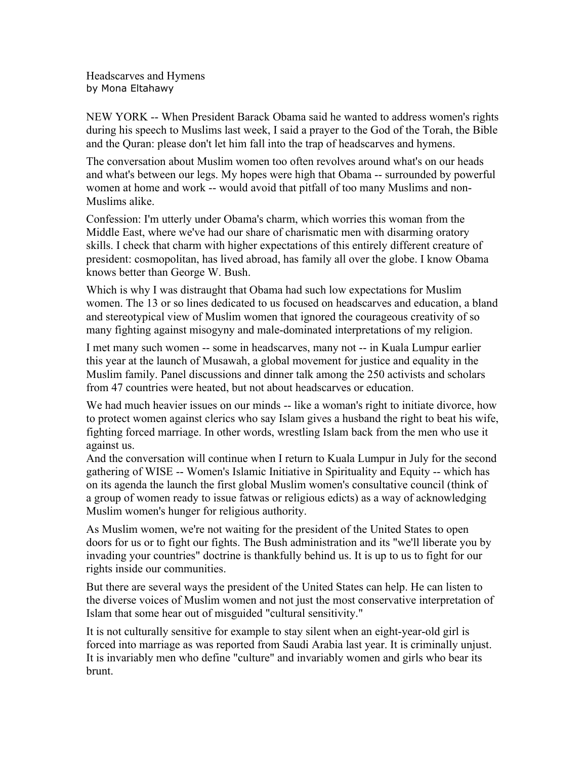Headscarves and Hymens by Mona Eltahawy

NEW YORK -- When President Barack Obama said he wanted to address women's rights during his speech to Muslims last week, I said a prayer to the God of the Torah, the Bible and the Quran: please don't let him fall into the trap of headscarves and hymens.

The conversation about Muslim women too often revolves around what's on our heads and what's between our legs. My hopes were high that Obama -- surrounded by powerful women at home and work -- would avoid that pitfall of too many Muslims and non-Muslims alike.

Confession: I'm utterly under Obama's charm, which worries this woman from the Middle East, where we've had our share of charismatic men with disarming oratory skills. I check that charm with higher expectations of this entirely different creature of president: cosmopolitan, has lived abroad, has family all over the globe. I know Obama knows better than George W. Bush.

Which is why I was distraught that Obama had such low expectations for Muslim women. The 13 or so lines dedicated to us focused on headscarves and education, a bland and stereotypical view of Muslim women that ignored the courageous creativity of so many fighting against misogyny and male-dominated interpretations of my religion.

I met many such women -- some in headscarves, many not -- in Kuala Lumpur earlier this year at the launch of Musawah, a global movement for justice and equality in the Muslim family. Panel discussions and dinner talk among the 250 activists and scholars from 47 countries were heated, but not about headscarves or education.

We had much heavier issues on our minds -- like a woman's right to initiate divorce, how to protect women against clerics who say Islam gives a husband the right to beat his wife, fighting forced marriage. In other words, wrestling Islam back from the men who use it against us.

And the conversation will continue when I return to Kuala Lumpur in July for the second gathering of WISE -- Women's Islamic Initiative in Spirituality and Equity -- which has on its agenda the launch the first global Muslim women's consultative council (think of a group of women ready to issue fatwas or religious edicts) as a way of acknowledging Muslim women's hunger for religious authority.

As Muslim women, we're not waiting for the president of the United States to open doors for us or to fight our fights. The Bush administration and its "we'll liberate you by invading your countries" doctrine is thankfully behind us. It is up to us to fight for our rights inside our communities.

But there are several ways the president of the United States can help. He can listen to the diverse voices of Muslim women and not just the most conservative interpretation of Islam that some hear out of misguided "cultural sensitivity."

It is not culturally sensitive for example to stay silent when an eight-year-old girl is forced into marriage as was reported from Saudi Arabia last year. It is criminally unjust. It is invariably men who define "culture" and invariably women and girls who bear its brunt.